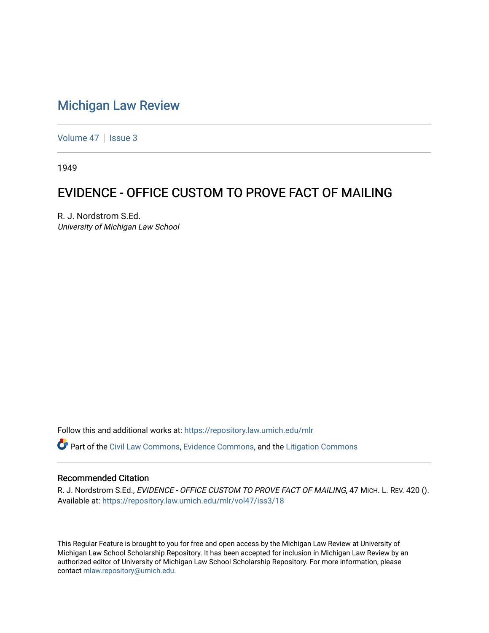## [Michigan Law Review](https://repository.law.umich.edu/mlr)

[Volume 47](https://repository.law.umich.edu/mlr/vol47) | [Issue 3](https://repository.law.umich.edu/mlr/vol47/iss3)

1949

## EVIDENCE - OFFICE CUSTOM TO PROVE FACT OF MAILING

R. J. Nordstrom S.Ed. University of Michigan Law School

Follow this and additional works at: [https://repository.law.umich.edu/mlr](https://repository.law.umich.edu/mlr?utm_source=repository.law.umich.edu%2Fmlr%2Fvol47%2Fiss3%2F18&utm_medium=PDF&utm_campaign=PDFCoverPages) 

Part of the [Civil Law Commons](http://network.bepress.com/hgg/discipline/835?utm_source=repository.law.umich.edu%2Fmlr%2Fvol47%2Fiss3%2F18&utm_medium=PDF&utm_campaign=PDFCoverPages), [Evidence Commons](http://network.bepress.com/hgg/discipline/601?utm_source=repository.law.umich.edu%2Fmlr%2Fvol47%2Fiss3%2F18&utm_medium=PDF&utm_campaign=PDFCoverPages), and the [Litigation Commons](http://network.bepress.com/hgg/discipline/910?utm_source=repository.law.umich.edu%2Fmlr%2Fvol47%2Fiss3%2F18&utm_medium=PDF&utm_campaign=PDFCoverPages)

## Recommended Citation

R. J. Nordstrom S.Ed., EVIDENCE - OFFICE CUSTOM TO PROVE FACT OF MAILING, 47 MICH. L. REV. 420 (). Available at: [https://repository.law.umich.edu/mlr/vol47/iss3/18](https://repository.law.umich.edu/mlr/vol47/iss3/18?utm_source=repository.law.umich.edu%2Fmlr%2Fvol47%2Fiss3%2F18&utm_medium=PDF&utm_campaign=PDFCoverPages) 

This Regular Feature is brought to you for free and open access by the Michigan Law Review at University of Michigan Law School Scholarship Repository. It has been accepted for inclusion in Michigan Law Review by an authorized editor of University of Michigan Law School Scholarship Repository. For more information, please contact [mlaw.repository@umich.edu](mailto:mlaw.repository@umich.edu).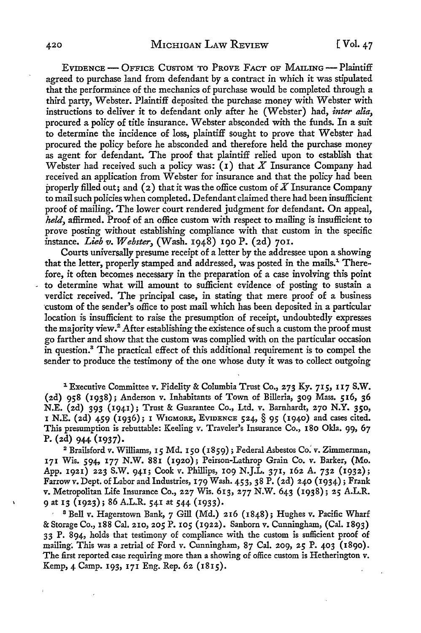EVIDENCE - OFFICE CUSTOM TO PROVE FACT OF MAILING --- Plaintiff agreed to purchase land from defendant by a contract in which it was stipulated that the performance of the mechanics of purchase would be completed through a third party, Webster. Plaintiff deposited the purchase money with Webster with instructions to deliver it to defendant only after he (Webster) had, *inter alia,*  procured a policy of title insurance. Webster absconded with the funds. In a suit to determine the incidence of loss, plaintiff sought to prove that Webster had procured the policy before he absconded and therefore held the purchase money as agent for defendant. The proof that plaintiff relied upon to establish that Webster had received such a policy was: (1) that *X* Insurance Company had received an application from Webster for insurance and that the policy had been properly filled out; and ( 2) that it was the office custom of *X* Insurance Company to mail such policies when completed. Defendant claimed there had been insufficient proof of mailing. The lower court rendered judgment for defendant. On appeal, *held,* affirmed. Proof of an office custom with respect to mailing is insufficient to prove posting without establishing compliance with that custom in the specific instance. *Lieb v. Webster,* (Wash. 1948) 190 P. (2d) 701.

Courts universally presume receipt of a letter by the addressee upon a showing that the letter, properly stamped and addressed, was posted in the mails.<sup>1</sup> Therefore, it often becomes necessary in the preparation of a case involving this point to determine what will amount to sufficient evidence of posting to sustain a verdict received. The principal case, in stating that mere proof of a business ·custom of the sender's office to post mail which has been deposited in a particular location is insufficient to raise the presumption of receipt, undoubtedly expresses the majority view.<sup>2</sup> After establishing the existence of such a custom the proof must go farther and show that the custom was complied with on the particular occasion in question.<sup>8</sup>The practical effect of this additional requirement is to compel the sender to produce the testimony of the one whose duty it was to collect outgoing

<sup>1</sup> Executive Committee v. Fidelity & Columbia Trust Co., 273 Ky. 715, 117 S.W. (2d) 958 (1938); Anderson v. Inhabitants of Town of Billeria, 309 Mass. 516, 36 N.E. (2d) 393 (1941); Trust & Guarantee Co., Ltd. v. Barnhardt, 270 N.Y. 350, 1 N.E. (2d) 459 (1936); l W1cMoRE, EVIDENCE 524, § 95 (1940) and cases cited. This presumption is rebuttable: Keeling v. Traveler's Insurance Co., 180 Okla. 99, 67 P. (2d) 944 (1937).

<sup>2</sup>Brailsford v. Williams, 15 Md. 150 (1859); Federal Asbestos *Co:* v. Zimmerman, 171 Wis. 594, 177 N.W. 881 (1920); Peirson-Lathrop Grain Co. v. Barker, (Mo. App. 1921) 223 S.W. 941; Cook v. Phillips, 109 N.J.L. 371, 162 A. 732 (1932); Farrowv. Dept. of Labor and Industries, 179 Wash. 453, 38 P. (2d) 240 (1934); Frank v. Metropolitan Life Insurance Co., 227 Wis. 613, 277 N.W. 643 (1938); 25 A.L.R. 9 at 13 (1923); 86 A.L.R. 541 at 544 (1933).

• <sup>8</sup>Bell v. Hagerstown Bank, 7 Gill (Md.) 216 (1848); Hughes v. Pacific Wharf & Storage Co., 188 Cal. 210, 205 P. 105 (1922). Sanborn v. Cunningham, (Cal. 1893) 33 P. 894, holds that testimony of compliance with the custom is sufficient proof of mailing. This was a retrial of Ford v. Cunningham,  $87$  Cal. 209, 25 P. 403 (1890). The first reported case requiring more than a showing of office custom is Hetherington v. Kemp, 4 Camp. 193, 171 Eng. Rep. 62 (1815).